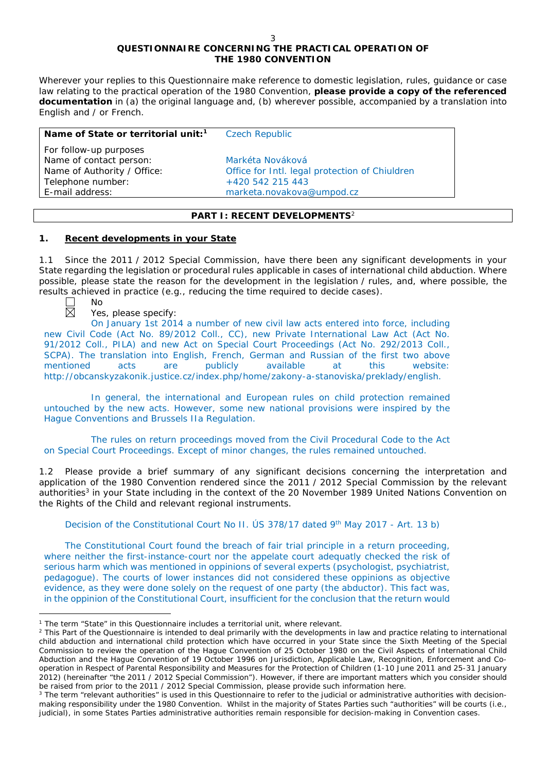# **QUESTIONNAIRE CONCERNING THE PRACTICAL OPERATION OF THE 1980 CONVENTION**

*Wherever your replies to this Questionnaire make reference to domestic legislation, rules, guidance or case*  law relating to the practical operation of the 1980 Convention, please provide a copy of the referenced *documentation in (a) the original language and, (b) wherever possible, accompanied by a translation into English and / or French.* 

| Name of State or territorial unit: <sup>1</sup>   | <b>Czech Republic</b>                          |
|---------------------------------------------------|------------------------------------------------|
| For follow-up purposes<br>Name of contact person: | Markéta Nováková                               |
| Name of Authority / Office:                       | Office for Intl. legal protection of Chiuldren |
| Telephone number:                                 | $+420$ 542 215 443                             |
| E-mail address:                                   | marketa.novakova@umpod.cz                      |

# **PART I: RECENT DEVELOPMENTS**<sup>2</sup>

# **1. Recent developments in your State**

1.1 Since the 2011 / 2012 Special Commission, have there been any significant developments in your State regarding the legislation or procedural rules applicable in cases of international child abduction. Where possible, please state the reason for the development in the legislation / rules, and, where possible, the results achieved in practice (*e.g.*, reducing the time required to decide cases).  $N<sub>0</sub>$ 

 $\overline{a}$ 

# Yes, please specify:

On January 1st 2014 a number of new civil law acts entered into force, including new Civil Code (Act No. 89/2012 Coll., CC), new Private International Law Act (Act No. 91/2012 Coll., PILA) and new Act on Special Court Proceedings (Act No. 292/2013 Coll., SCPA). The translation into English, French, German and Russian of the first two above mentioned acts are publicly available at this website: http://obcanskyzakonik.justice.cz/index.php/home/zakony-a-stanoviska/preklady/english.

In general, the international and European rules on child protection remained untouched by the new acts. However, some new national provisions were inspired by the Hague Conventions and Brussels IIa Regulation.

The rules on return proceedings moved from the Civil Procedural Code to the Act on Special Court Proceedings. Except of minor changes, the rules remained untouched.

1.2 Please provide a brief summary of any significant decisions concerning the interpretation and application of the 1980 Convention rendered since the 2011 / 2012 Special Commission by the relevant authorities<sup>3</sup> in your State including in the context of the 20 November 1989 United Nations Convention on the Rights of the Child and relevant regional instruments.

Decision of the Constitutional Court No II. ÚS 378/17 dated 9th May 2017 - Art. 13 b)

The Constitutional Court found the breach of fair trial principle in a return proceeding, where neither the first-instance-court nor the appelate court adequatly checked the risk of serious harm which was mentioned in oppinions of several experts (psychologist, psychiatrist, pedagogue). The courts of lower instances did not considered these oppinions as objective evidence, as they were done solely on the request of one party (the abductor). This fact was, in the oppinion of the Constitutional Court, insufficient for the conclusion that the return would

<sup>1</sup> The term "State" in this Questionnaire includes a territorial unit, where relevant.

<sup>&</sup>lt;sup>2</sup> This Part of the Questionnaire is intended to deal primarily with the developments in law and practice relating to international child abduction and international child protection which have occurred in your State since the Sixth Meeting of the Special Commission to review the operation of the *Hague Convention of 25 October 1980 on the Civil Aspects of International Child Abduction* and the *Hague Convention of 19 October 1996 on Jurisdiction, Applicable Law, Recognition, Enforcement and Cooperation in Respect of Parental Responsibility and Measures for the Protection of Children* (1-10 June 2011 and 25-31 January 2012) (hereinafter "the 2011 / 2012 Special Commission"). However, if there are important matters which you consider should be raised from *prior to* the 2011 / 2012 Special Commission, please provide such information here.

<sup>&</sup>lt;sup>3</sup> The term "relevant authorities" is used in this Questionnaire to refer to the judicial or administrative authorities with decisionmaking responsibility under the 1980 Convention. Whilst in the majority of States Parties such "authorities" will be courts (*i.e.*, judicial), in some States Parties administrative authorities remain responsible for decision-making in Convention cases.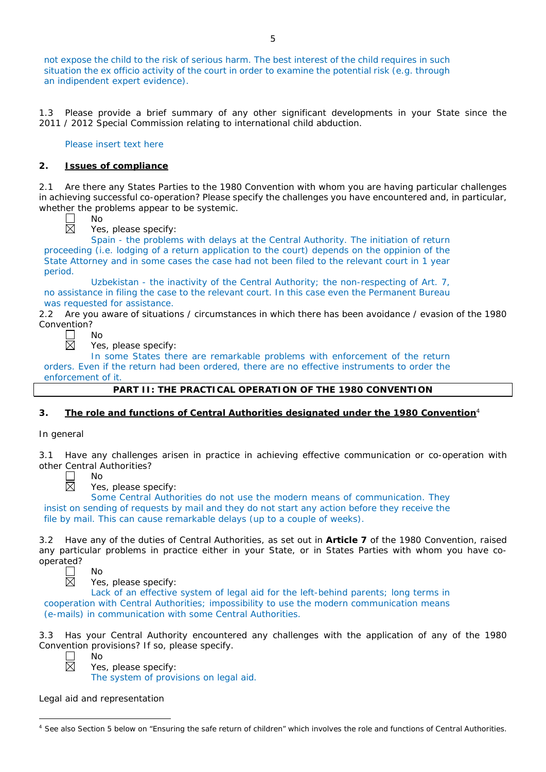not expose the child to the risk of serious harm. The best interest of the child requires in such situation the ex officio activity of the court in order to examine the potential risk (e.g. through an indipendent expert evidence).

1.3 Please provide a brief summary of any other significant developments in your State since the 2011 / 2012 Special Commission relating to international child abduction.

Please insert text here

# **2. Issues of compliance**

No

2.1 Are there any States Parties to the 1980 Convention with whom you are having particular challenges in achieving successful co-operation? Please specify the challenges you have encountered and, in particular, whether the problems appear to be systemic.

闵

Yes, please specify:

Spain - the problems with delays at the Central Authority. The initiation of return proceeding (i.e. lodging of a return application to the court) depends on the oppinion of the State Attorney and in some cases the case had not been filed to the relevant court in 1 year period.

Uzbekistan - the inactivity of the Central Authority; the non-respecting of Art. 7, no assistance in filing the case to the relevant court. In this case even the Permanent Bureau was requested for assistance.

2.2 Are you aware of situations / circumstances in which there has been avoidance / evasion of the 1980 Convention?



Yes, please specify:

In some States there are remarkable problems with enforcement of the return orders. Even if the return had been ordered, there are no effective instruments to order the enforcement of it.

# **PART II: THE PRACTICAL OPERATION OF THE 1980 CONVENTION**

# **3. The role and functions of Central Authorities designated under the 1980 Convention**<sup>4</sup>

# *In general*

Have any challenges arisen in practice in achieving effective communication or co-operation with other Central Authorities?



No

Yes, please specify:

Some Central Authorities do not use the modern means of communication. They insist on sending of requests by mail and they do not start any action before they receive the file by mail. This can cause remarkable delays (up to a couple of weeks).

3.2 Have any of the duties of Central Authorities, as set out in **Article 7** of the 1980 Convention, raised any particular problems in practice either in your State, or in States Parties with whom you have cooperated?<br> $\overline{\mathbb{Z}}$ 

No

Yes, please specify:

Lack of an effective system of legal aid for the left-behind parents; long terms in cooperation with Central Authorities; impossibility to use the modern communication means (e-mails) in communication with some Central Authorities.

3.3 Has your Central Authority encountered any challenges with the application of any of the 1980 Convention provisions? If so, please specify. No



 $\overline{a}$ 

Yes, please specify: The system of provisions on legal aid.

*Legal aid and representation*

<sup>&</sup>lt;sup>4</sup> See also Section 5 below on "Ensuring the safe return of children" which involves the role and functions of Central Authorities.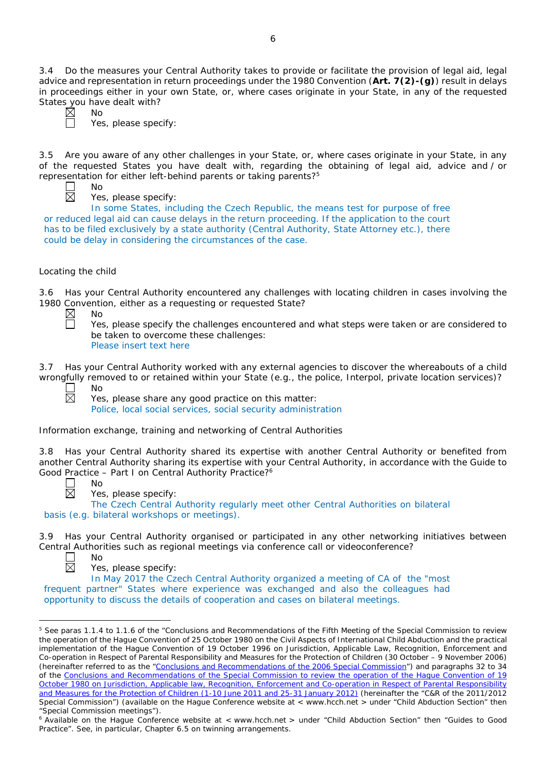3.4 Do the measures your Central Authority takes to provide or facilitate the provision of legal aid, legal advice and representation in return proceedings under the 1980 Convention (**Art. 7(2)-(g)**) result in delays in proceedings either in your own State, or, where cases originate in your State, in any of the requested States you have dealt with?

No Yes, please specify:

3.5 Are you aware of any other challenges in your State, or, where cases originate in your State, in any of the requested States you have dealt with, regarding the obtaining of legal aid, advice and / or representation for either left-behind parents or taking parents?5

No

Yes, please specify:

In some States, including the Czech Republic, the means test for purpose of free or reduced legal aid can cause delays in the return proceeding. If the application to the court has to be filed exclusively by a state authority (Central Authority, State Attorney etc.), there could be delay in considering the circumstances of the case.

# *Locating the child*

3.6 Has your Central Authority encountered any challenges with locating children in cases involving the 1980 Convention, either as a requesting or requested State?

 $\boxtimes$ No П

Yes, please specify the challenges encountered and what steps were taken or are considered to be taken to overcome these challenges: Please insert text here

3.7 Has your Central Authority worked with any external agencies to discover the whereabouts of a child wrongfully removed to or retained within your State (*e.g.*, the police, Interpol, private location services)?

No

No

Yes, please share any good practice on this matter:

Police, local social services, social security administration

*Information exchange, training and networking of Central Authorities*

3.8 Has your Central Authority shared its expertise with another Central Authority or benefited from another Central Authority sharing its expertise with your Central Authority, in accordance with the Guide to Good Practice – Part I on Central Authority Practice?<sup>6</sup>

Yes, please specify:

The Czech Central Authority regularly meet other Central Authorities on bilateral basis (e.g. bilateral workshops or meetings).

3.9 Has your Central Authority organised or participated in any other networking initiatives between Central Authorities such as regional meetings via conference call or videoconference? No



 $\overline{a}$ 

Yes, please specify:

In May 2017 the Czech Central Authority organized a meeting of CA of the "most frequent partner" States where experience was exchanged and also the colleagues had opportunity to discuss the details of cooperation and cases on bilateral meetings.

<sup>&</sup>lt;sup>5</sup> See paras 1.1.4 to 1.1.6 of the "Conclusions and Recommendations of the Fifth Meeting of the Special Commission to review the operation of the *Hague Convention of 25 October 1980 on the Civil Aspects of International Child Abduction* and the practical implementation of the *Hague Convention of 19 October 1996 on Jurisdiction, Applicable Law, Recognition, Enforcement and Co-operation in Respect of Parental Responsibility and Measures for the Protection of Children* (30 October – 9 November 2006) (hereinafter referred to as the ["Conclusions and Recommendations of the 2006 Special Commission"](https://assets.hcch.net/upload/concl28sc5_e.pdf)) and paragraphs 32 to 34 of the [Conclusions and Recommendations of the Special Commission](https://assets.hcch.net/upload/wop/concl28sc6_e.pdf) to review the operation of the Hague Convention of *19 [October 1980 on Jurisdiction, Applicable law, Recognition, Enforcement and Co-operation in Respect of Parental Responsibility](https://assets.hcch.net/upload/wop/concl28sc6_e.pdf)  [and Measures for the Protection of Children](https://assets.hcch.net/upload/wop/concl28sc6_e.pdf)* (1-10 June 2011 and 25-31 January 2012) (hereinafter the "C&R of the 2011/2012 Special Commission") (available on the Hague Conference website at < www.hcch.net > under "Child Abduction Section" then "Special Commission meetings").

<sup>&</sup>lt;sup>6</sup> Available on the Hague Conference website at < www.hcch.net > under "Child Abduction Section" then "Guides to Good Practice". See, in particular, Chapter 6.5 on twinning arrangements.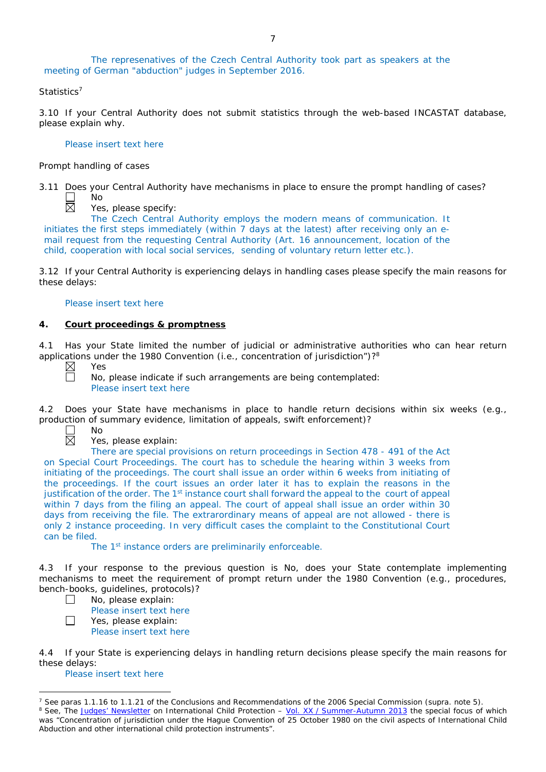The represenatives of the Czech Central Authority took part as speakers at the meeting of German "abduction" judges in September 2016.

### *Statistics*<sup>7</sup>

3.10 If your Central Authority does not submit statistics through the web-based INCASTAT database, please explain why.

#### Please insert text here

#### *Prompt handling of cases*

No

3.11 Does your Central Authority have mechanisms in place to ensure the prompt handling of cases?

 $\mathsf{L}$ 岗

Yes, please specify:

The Czech Central Authority employs the modern means of communication. It initiates the first steps immediately (within 7 days at the latest) after receiving only an email request from the requesting Central Authority (Art. 16 announcement, location of the child, cooperation with local social services, sending of voluntary return letter etc.).

3.12 If your Central Authority is experiencing delays in handling cases please specify the main reasons for these delays:

#### Please insert text here

# **4. Court proceedings & promptness**

4.1 Has your State limited the number of judicial or administrative authorities who can hear return applications under the 1980 Convention (*i.e.*, concentration of jurisdiction")?8



Yes

No

No, please indicate if such arrangements are being contemplated: Please insert text here

4.2 Does your State have mechanisms in place to handle return decisions within six weeks (*e.g.*, production of summary evidence, limitation of appeals, swift enforcement)?



 $\Box$ 

Yes, please explain:

There are special provisions on return proceedings in Section 478 - 491 of the Act on Special Court Proceedings. The court has to schedule the hearing within 3 weeks from initiating of the proceedings. The court shall issue an order within 6 weeks from initiating of the proceedings. If the court issues an order later it has to explain the reasons in the justification of the order. The 1<sup>st</sup> instance court shall forward the appeal to the court of appeal within 7 days from the filing an appeal. The court of appeal shall issue an order within 30 days from receiving the file. The extrarordinary means of appeal are not allowed - there is only 2 instance proceeding. In very difficult cases the complaint to the Constitutional Court can be filed.

The 1<sup>st</sup> instance orders are preliminarily enforceable.

4.3 If your response to the previous question is No, does your State contemplate implementing mechanisms to meet the requirement of prompt return under the 1980 Convention (*e.g.*, procedures, bench-books, guidelines, protocols)?

No, please explain:

Please insert text here

 $\Box$ Yes, please explain:

Please insert text here

4.4 If your State is experiencing delays in handling return decisions please specify the main reasons for these delays:

#### Please insert text here

<sup>7</sup> See paras 1.1.16 to 1.1.21 of the Conclusions and Recommendations of the 2006 Special Commission (*supra.* note 5). <sup>8</sup> See, *The [Judges' Newsletter](https://www.hcch.net/en/instruments/conventions/publications2/judges-newsletter)* on International Child Protection – Vol. XX / [Summer-Autumn 2013](https://assets.hcch.net/upload/newsletter/nl2013tome20en.pdf) the special focus of which was "Concentration of jurisdiction under the *Hague Convention of 25 October 1980 on the civil aspects of International Child Abduction* and other international child protection instruments".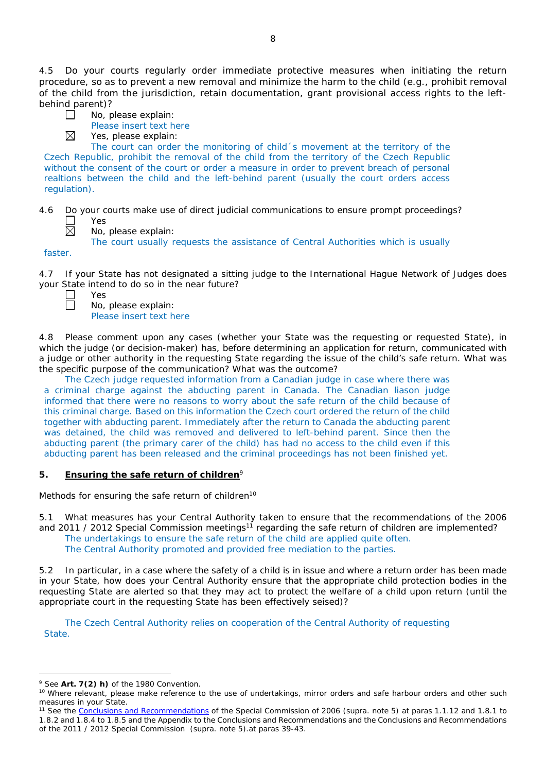4.5 Do your courts regularly order immediate protective measures when initiating the return procedure, so as to prevent a new removal and minimize the harm to the child (*e.g.*, prohibit removal of the child from the jurisdiction, retain documentation, grant provisional access rights to the leftbehind parent)?

| $\Box$ | No, please explain: |
|--------|---------------------|

Please insert text here

Yes, please explain:

The court can order the monitoring of child´s movement at the territory of the Czech Republic, prohibit the removal of the child from the territory of the Czech Republic without the consent of the court or order a measure in order to prevent breach of personal realtions between the child and the left-behind parent (usually the court orders access regulation).

- 4.6 Do your courts make use of direct judicial communications to ensure prompt proceedings? Yes 岗
	- No, please explain:

The court usually requests the assistance of Central Authorities which is usually

faster.

4.7 If your State has not designated a sitting judge to the International Hague Network of Judges does

|        | your State intend to do so in the near future? |  |  |  |  |
|--------|------------------------------------------------|--|--|--|--|
| II Yes |                                                |  |  |  |  |
|        | $\Box$ No, please explain:                     |  |  |  |  |

 $\boxtimes$ 

No, please explain: Please insert text here

4.8 Please comment upon any cases (whether your State was the requesting or requested State), in which the judge (or decision-maker) has, before determining an application for return, communicated with a judge or other authority in the requesting State regarding the issue of the child's safe return. What was the specific purpose of the communication? What was the outcome?

The Czech judge requested information from a Canadian judge in case where there was a criminal charge against the abducting parent in Canada. The Canadian liason judge informed that there were no reasons to worry about the safe return of the child because of this criminal charge. Based on this information the Czech court ordered the return of the child together with abducting parent. Immediately after the return to Canada the abducting parent was detained, the child was removed and delivered to left-behind parent. Since then the abducting parent (the primary carer of the child) has had no access to the child even if this abducting parent has been released and the criminal proceedings has not been finished yet.

# **5. Ensuring the safe return of children**<sup>9</sup>

*Methods for ensuring the safe return of children*<sup>10</sup>

5.1 What measures has your Central Authority taken to ensure that the recommendations of the 2006 and 2011 / 2012 Special Commission meetings<sup>11</sup> regarding the safe return of children are implemented? The undertakings to ensure the safe return of the child are applied quite often. The Central Authority promoted and provided free mediation to the parties.

5.2 In particular, in a case where the safety of a child is in issue and where a return order has been made in your State, how does your Central Authority ensure that the appropriate child protection bodies in the *requesting* State are alerted so that they may act to protect the welfare of a child upon return (until the appropriate court in the requesting State has been effectively seised)?

The Czech Central Authority relies on cooperation of the Central Authority of requesting State.

<sup>9</sup> See **Art. 7(2)** *h)* of the 1980 Convention.

<sup>&</sup>lt;sup>10</sup> Where relevant, please make reference to the use of undertakings, mirror orders and safe harbour orders and other such measures in your State.

<sup>11</sup> See the [Conclusions and Recommendations](https://assets.hcch.net/upload/concl28sc5_e.pdf) of the Special Commission of 2006 (*supra.* note 5) at paras 1.1.12 and 1.8.1 to 1.8.2 and 1.8.4 to 1.8.5 and the Appendix to the Conclusions and Recommendations and the [Conclusions and Recommendations](https://assets.hcch.net/upload/wop/concl28sc6_e.pdf)  of the 2011 / [2012 Special Commission](https://assets.hcch.net/upload/wop/concl28sc6_e.pdf) (*supra.* note 5).at paras 39-43.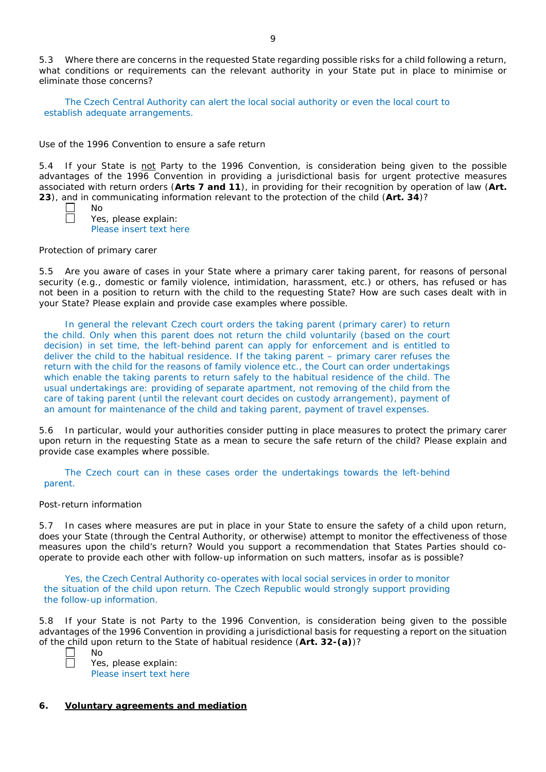5.3 Where there are concerns in the requested State regarding possible risks for a child following a return, what conditions or requirements can the relevant authority in your State put in place to minimise or eliminate those concerns?

The Czech Central Authority can alert the local social authority or even the local court to establish adequate arrangements.

#### *Use of the 1996 Convention to ensure a safe return*

5.4 If your State is not Party to the 1996 Convention, is consideration being given to the possible advantages of the 1996 Convention in providing a jurisdictional basis for urgent protective measures associated with return orders (**Arts 7 and 11**), in providing for their recognition by operation of law (**Art. 23**), and in communicating information relevant to the protection of the child (**Art. 34**)?

Yes, please explain: Please insert text here

#### *Protection of primary carer*

No

5.5 Are you aware of cases in your State where a primary carer taking parent, for reasons of personal security (*e.g.*, domestic or family violence, intimidation, harassment, etc.) or others, has refused or has not been in a position to return with the child to the requesting State? How are such cases dealt with in your State? Please explain and provide case examples where possible.

In general the relevant Czech court orders the taking parent (primary carer) to return the child. Only when this parent does not return the child voluntarily (based on the court decision) in set time, the left-behind parent can apply for enforcement and is entitled to deliver the child to the habitual residence. If the taking parent – primary carer refuses the return with the child for the reasons of family violence etc., the Court can order undertakings which enable the taking parents to return safely to the habitual residence of the child. The usual undertakings are: providing of separate apartment, not removing of the child from the care of taking parent (until the relevant court decides on custody arrangement), payment of an amount for maintenance of the child and taking parent, payment of travel expenses.

5.6 In particular, would your authorities consider putting in place measures to protect the primary carer upon return in the requesting State as a mean to secure the safe return of the child? Please explain and provide case examples where possible.

The Czech court can in these cases order the undertakings towards the left-behind parent.

#### *Post-return information*

5.7 In cases where measures are put in place in your State to ensure the safety of a child upon return, does your State (through the Central Authority, or otherwise) attempt to monitor the effectiveness of those measures upon the child's return? Would you support a recommendation that States Parties should cooperate to provide each other with follow-up information on such matters, insofar as is possible?

Yes, the Czech Central Authority co-operates with local social services in order to monitor the situation of the child upon return. The Czech Republic would strongly support providing the follow-up information.

5.8 If your State is not Party to the 1996 Convention, is consideration being given to the possible advantages of the 1996 Convention in providing a jurisdictional basis for requesting a report on the situation of the child upon return to the State of habitual residence (**Art. 32-(a)**)? No

Yes, please explain: Please insert text here

# **6. Voluntary agreements and mediation**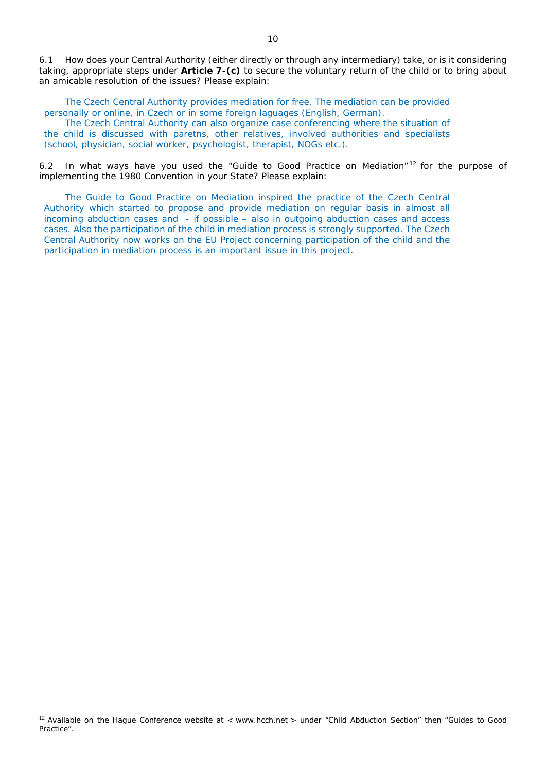6.1 How does your Central Authority (either directly or through any intermediary) take, or is it considering taking, appropriate steps under **Article 7-(c)** to secure the voluntary return of the child or to bring about an amicable resolution of the issues? Please explain:

The Czech Central Authority provides mediation for free. The mediation can be provided personally or online, in Czech or in some foreign laguages (English, German).

The Czech Central Authority can also organize case conferencing where the situation of the child is discussed with paretns, other relatives, involved authorities and specialists (school, physician, social worker, psychologist, therapist, NOGs etc.).

6.2 In what ways have you used the "Guide to Good Practice on Mediation" <sup>12</sup> for the purpose of implementing the 1980 Convention in your State? Please explain:

The Guide to Good Practice on Mediation inspired the practice of the Czech Central Authority which started to propose and provide mediation on regular basis in almost all incoming abduction cases and - if possible – also in outgoing abduction cases and access cases. Also the participation of the child in mediation process is strongly supported. The Czech Central Authority now works on the EU Project concerning participation of the child and the participation in mediation process is an important issue in this project.

<sup>&</sup>lt;sup>12</sup> Available on the Hague Conference website at < www.hcch.net > under "Child Abduction Section" then "Guides to Good Practice".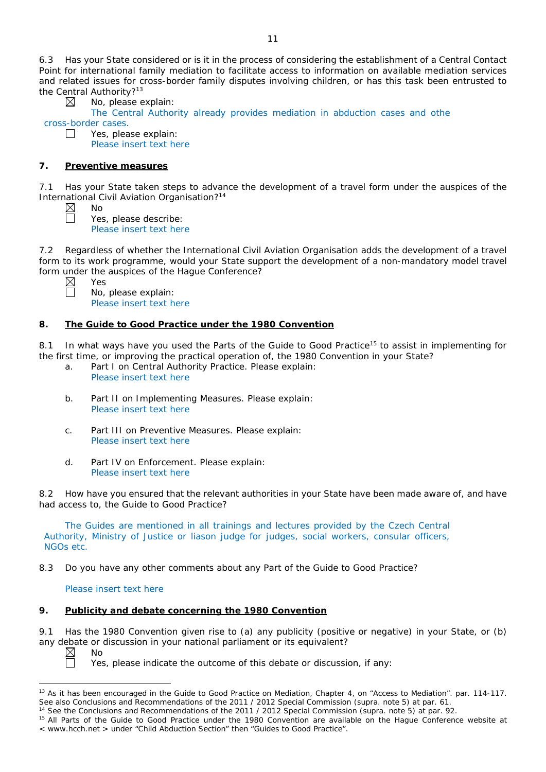6.3 Has your State considered or is it in the process of considering the establishment of a Central Contact Point for international family mediation to facilitate access to information on available mediation services and related issues for cross-border family disputes involving children, or has this task been entrusted to the Central Authority?<sup>13</sup>

No, please explain:

The Central Authority already provides mediation in abduction cases and othe cross-border cases.  $\Box$ 

Yes, please explain: Please insert text here

# **7. Preventive measures**

No

Yes

7.1 Has your State taken steps to advance the development of a travel form under the auspices of the International Civil Aviation Organisation?14

⊠

Yes, please describe: Please insert text here

7.2 Regardless of whether the International Civil Aviation Organisation adds the development of a travel form to its work programme, would your State support the development of a non-mandatory model travel form under the auspices of the Hague Conference?

No, please explain: Please insert text here

# **8. The Guide to Good Practice under the 1980 Convention**

8.1 In what ways have you used the Parts of the Guide to Good Practice<sup>15</sup> to assist in implementing for the first time, or improving the practical operation of, the 1980 Convention in your State?

- a. Part I on Central Authority Practice. Please explain: Please insert text here
- b. Part II on Implementing Measures. Please explain: Please insert text here
- c. Part III on Preventive Measures. Please explain: Please insert text here
- d. Part IV on Enforcement. Please explain: Please insert text here

8.2 How have you ensured that the relevant authorities in your State have been made aware of, and have had access to, the Guide to Good Practice?

The Guides are mentioned in all trainings and lectures provided by the Czech Central Authority, Ministry of Justice or liason judge for judges, social workers, consular officers, NGOs etc.

8.3 Do you have any other comments about any Part of the Guide to Good Practice?

# Please insert text here

# **9. Publicity and debate concerning the 1980 Convention**

9.1 Has the 1980 Convention given rise to (a) any publicity (positive or negative) in your State, or (b) any debate or discussion in your national parliament or its equivalent?<br>  $\boxtimes$  No<br>
Yes, please indicate the outcome of this debate or discussion

No

 $\overline{a}$ 

Yes, please indicate the outcome of this debate or discussion, if any:

<sup>&</sup>lt;sup>13</sup> As it has been encouraged in the Guide to Good Practice on Mediation, Chapter 4, on "Access to Mediation". par. 114-117. See also [Conclusions and Recommendations of the 2011](https://assets.hcch.net/upload/wop/concl28sc6_e.pdf) / 2012 Special Commission (*supra.* note 5) at par. 61.

<sup>14</sup> See the [Conclusions and Recommendations of the 2011](https://assets.hcch.net/upload/wop/concl28sc6_e.pdf) / 2012 Special Commission (*supra.* note 5) at par. 92.

<sup>&</sup>lt;sup>15</sup> All Parts of the Guide to Good Practice under the 1980 Convention are available on the Hague Conference website at < www.hcch.net > under "Child Abduction Section" then "Guides to Good Practice".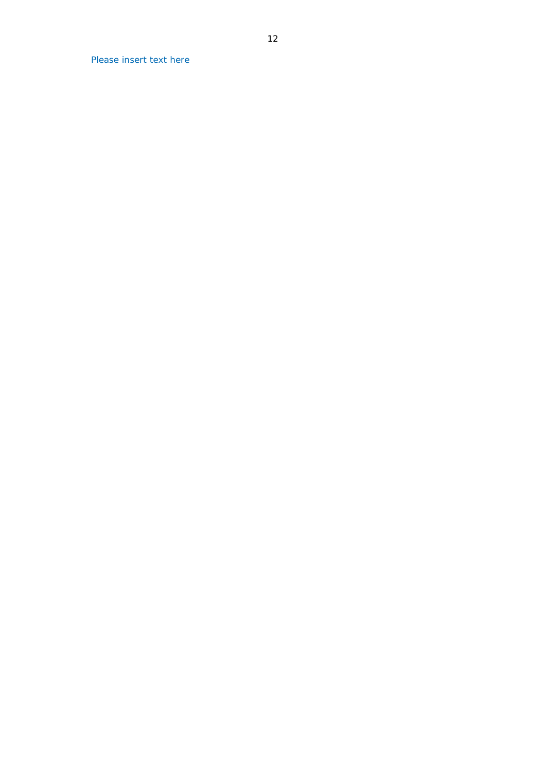Please insert text here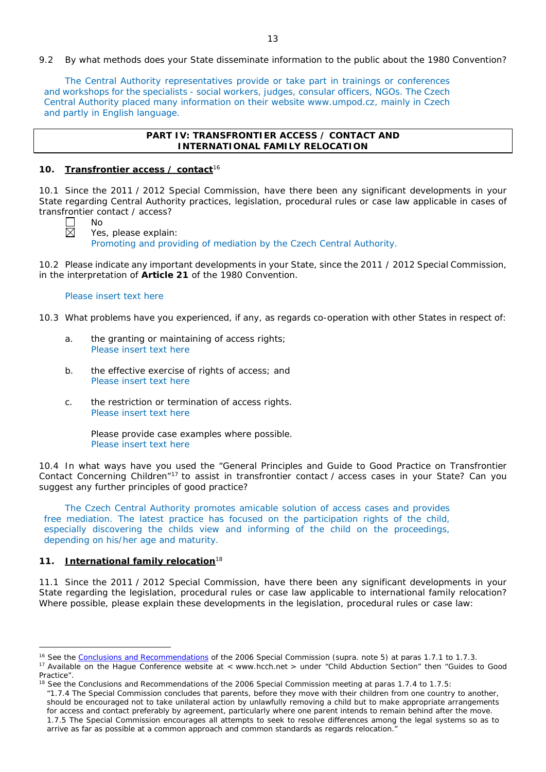9.2 By what methods does your State disseminate information to the public about the 1980 Convention?

The Central Authority representatives provide or take part in trainings or conferences and workshops for the specialists - social workers, judges, consular officers, NGOs. The Czech Central Authority placed many information on their website www.umpod.cz, mainly in Czech and partly in English language.

# **PART IV: TRANSFRONTIER ACCESS / CONTACT AND INTERNATIONAL FAMILY RELOCATION**

### **10. Transfrontier access / contact**<sup>16</sup>

10.1 Since the 2011 / 2012 Special Commission, have there been any significant developments in your State regarding Central Authority practices, legislation, procedural rules or case law applicable in cases of transfrontier contact / access? No

Yes, please explain:

Promoting and providing of mediation by the Czech Central Authority.

10.2 Please indicate any important developments in your State, since the 2011 / 2012 Special Commission, in the interpretation of **Article 21** of the 1980 Convention.

### Please insert text here

10.3 What problems have you experienced, if any, as regards co-operation with other States in respect of:

- a. the granting or maintaining of access rights; Please insert text here
- b. the effective exercise of rights of access; and Please insert text here
- c. the restriction or termination of access rights. Please insert text here

Please provide case examples where possible. Please insert text here

10.4 In what ways have you used the "General Principles and Guide to Good Practice on Transfrontier Contact Concerning Children"17 to assist in transfrontier contact / access cases in your State? Can you suggest any further principles of good practice?

The Czech Central Authority promotes amicable solution of access cases and provides free mediation. The latest practice has focused on the participation rights of the child, especially discovering the childs view and informing of the child on the proceedings, depending on his/her age and maturity.

# **11. International family relocation**<sup>18</sup>

 $\overline{a}$ 

11.1 Since the 2011 / 2012 Special Commission, have there been any significant developments in your State regarding the legislation, procedural rules or case law applicable to international family relocation? Where possible, please explain these developments in the legislation, procedural rules or case law:

*"*1.7.4 The Special Commission concludes that parents, before they move with their children from one country to another, should be encouraged not to take unilateral action by unlawfully removing a child but to make appropriate arrangements for access and contact preferably by agreement, particularly where one parent intends to remain behind after the move. 1.7.5 The Special Commission encourages all attempts to seek to resolve differences among the legal systems so as to arrive as far as possible at a common approach and common standards as regards relocation."

<sup>16</sup> See the [Conclusions and Recommendations](https://assets.hcch.net/upload/concl28sc5_e.pdf) of the 2006 Special Commission (*supra.* note 5) at paras 1.7.1 to 1.7.3.

<sup>&</sup>lt;sup>17</sup> Available on the Hague Conference website at < www.hcch.net > under "Child Abduction Section" then "Guides to Good Practice".

 $18$  See the Conclusions and Recommendations of the 2006 Special Commission meeting at paras 1.7.4 to 1.7.5: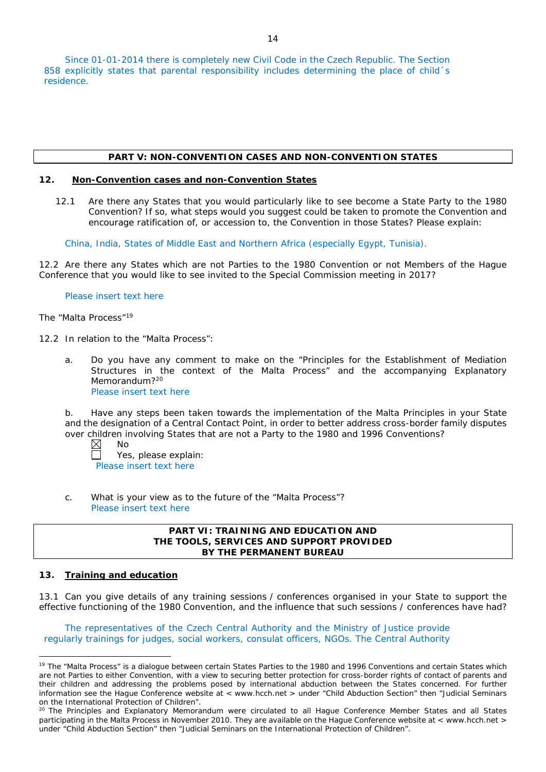Since 01-01-2014 there is completely new Civil Code in the Czech Republic. The Section 858 explicitly states that parental responsibility includes determining the place of child's residence.

# **PART V: NON-CONVENTION CASES AND NON-CONVENTION STATES**

# **12. Non-Convention cases and non-Convention States**

12.1 Are there any States that you would particularly like to see become a State Party to the 1980 Convention? If so, what steps would you suggest could be taken to promote the Convention and encourage ratification of, or accession to, the Convention in those States? Please explain:

China, India, States of Middle East and Northern Africa (especially Egypt, Tunisia).

12.2 Are there any States which are not Parties to the 1980 Convention or not Members of the Hague Conference that you would like to see invited to the Special Commission meeting in 2017?

# Please insert text here

# *The "Malta Process"*<sup>19</sup>

12.2 In relation to the "Malta Process":

a. Do you have any comment to make on the "Principles for the Establishment of Mediation Structures in the context of the Malta Process" and the accompanying Explanatory Memorandum?<sup>20</sup>

Please insert text here

b. Have any steps been taken towards the implementation of the Malta Principles in your State and the designation of a Central Contact Point, in order to better address cross-border family disputes over children involving States that are not a Party to the 1980 and 1996 Conventions?

⊠ No

Yes, please explain: П Please insert text here

c. What is your view as to the future of the "Malta Process"? Please insert text here

# **PART VI: TRAINING AND EDUCATION AND THE TOOLS, SERVICES AND SUPPORT PROVIDED BY THE PERMANENT BUREAU**

# **13. Training and education**

 $\overline{a}$ 

13.1 Can you give details of any training sessions / conferences organised in your State to support the effective functioning of the 1980 Convention, and the influence that such sessions / conferences have had?

The representatives of the Czech Central Authority and the Ministry of Justice provide regularly trainings for judges, social workers, consulat officers, NGOs. The Central Authority

<sup>&</sup>lt;sup>19</sup> The "Malta Process" is a dialogue between certain States Parties to the 1980 and 1996 Conventions and certain States which are not Parties to either Convention, with a view to securing better protection for cross-border rights of contact of parents and their children and addressing the problems posed by international abduction between the States concerned. For further information see the Hague Conference website at < www.hcch.net > under "Child Abduction Section" then "Judicial Seminars on the International Protection of Children".

<sup>&</sup>lt;sup>20</sup> The Principles and Explanatory Memorandum were circulated to all Hague Conference Member States and all States participating in the Malta Process in November 2010. They are available on the Hague Conference website at < www.hcch.net > under "Child Abduction Section" then "Judicial Seminars on the International Protection of Children".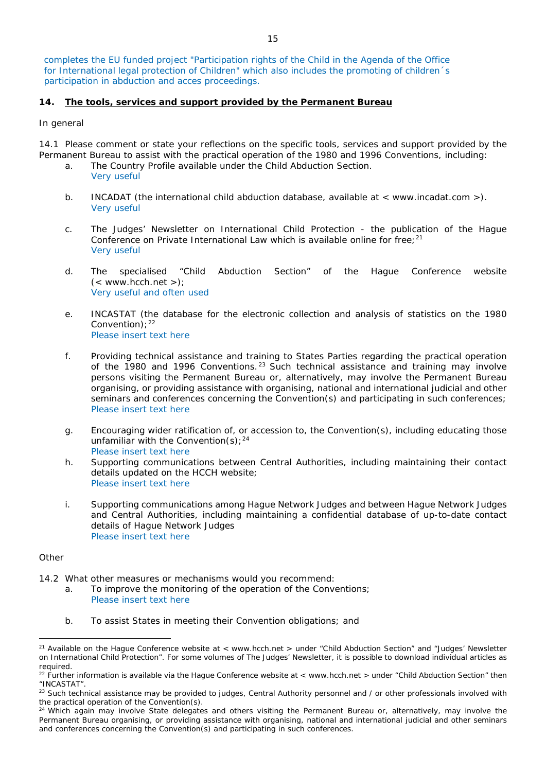completes the EU funded project "Participation rights of the Child in the Agenda of the Office for International legal protection of Children" which also includes the promoting of children´s participation in abduction and acces proceedings.

# **14. The tools, services and support provided by the Permanent Bureau**

# *In general*

14.1 Please comment or state your reflections on the specific tools, services and support provided by the Permanent Bureau to assist with the practical operation of the 1980 and 1996 Conventions, including:

- a. The Country Profile available under the Child Abduction Section. Very useful
- b. INCADAT (the international child abduction database, available at < www.incadat.com >). Very useful
- c. *The Judges' Newsletter* on International Child Protection the publication of the Hague Conference on Private International Law which is available online for free;<sup>21</sup> Very useful
- d. The specialised "Child Abduction Section" of the Hague Conference website  $(<$  www.hcch.net >); Very useful and often used
- e. INCASTAT (the database for the electronic collection and analysis of statistics on the 1980 Convention):  $22$ Please insert text here
- f. Providing technical assistance and training to States Parties regarding the practical operation of the 1980 and 1996 Conventions.  $23$  Such technical assistance and training may involve persons visiting the Permanent Bureau or, alternatively, may involve the Permanent Bureau organising, or providing assistance with organising, national and international judicial and other seminars and conferences concerning the Convention(s) and participating in such conferences; Please insert text here
- g. Encouraging wider ratification of, or accession to, the Convention(s), including educating those unfamiliar with the Convention(s);  $24$ Please insert text here
- h. Supporting communications between Central Authorities, including maintaining their contact details updated on the HCCH website; Please insert text here
- i. Supporting communications among Hague Network Judges and between Hague Network Judges and Central Authorities, including maintaining a confidential database of up-to-date contact details of Hague Network Judges Please insert text here

# *Other*

- 14.2 What other measures or mechanisms would you recommend:
	- a. To improve the monitoring of the operation of the Conventions; Please insert text here
		- b. To assist States in meeting their Convention obligations; and

<sup>&</sup>lt;sup>21</sup> Available on the Hague Conference website at < www.hcch.net > under "Child Abduction Section" and "Judges' Newsletter on International Child Protection". For some volumes of *The Judges' Newsletter*, it is possible to download individual articles as required.

 $22$  Further information is available via the Hague Conference website at < www.hcch.net > under "Child Abduction Section" then "INCASTAT".

<sup>&</sup>lt;sup>23</sup> Such technical assistance may be provided to judges, Central Authority personnel and / or other professionals involved with the practical operation of the Convention(s).

 $24$  Which again may involve State delegates and others visiting the Permanent Bureau or, alternatively, may involve the Permanent Bureau organising, or providing assistance with organising, national and international judicial and other seminars and conferences concerning the Convention(s) and participating in such conferences.